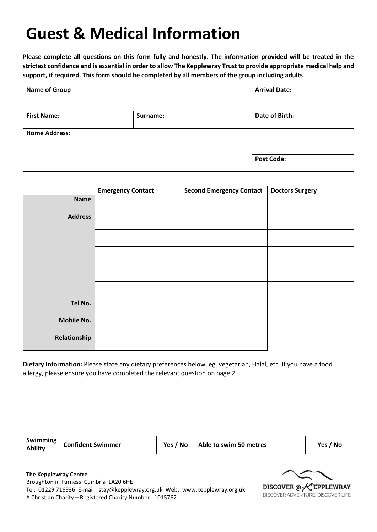# **Guest & Medical Information**

**Please complete all questions on this form fully and honestly. The information provided will be treated in the strictest confidence and is essential in order to allow The Kepplewray Trust to provide appropriate medical help and support, if required. This form should be completed by all members of the group including adults**.

| <b>Name of Group</b> |          | <b>Arrival Date:</b> |  |
|----------------------|----------|----------------------|--|
| <b>First Name:</b>   | Surname: | Date of Birth:       |  |
| <b>Home Address:</b> |          |                      |  |
|                      |          | <b>Post Code:</b>    |  |

|                   | <b>Emergency Contact</b> | <b>Second Emergency Contact</b> | <b>Doctors Surgery</b> |
|-------------------|--------------------------|---------------------------------|------------------------|
| <b>Name</b>       |                          |                                 |                        |
| <b>Address</b>    |                          |                                 |                        |
|                   |                          |                                 |                        |
|                   |                          |                                 |                        |
|                   |                          |                                 |                        |
|                   |                          |                                 |                        |
| Tel No.           |                          |                                 |                        |
| <b>Mobile No.</b> |                          |                                 |                        |
| Relationship      |                          |                                 |                        |

**Dietary Information:** Please state any dietary preferences below, eg. vegetarian, Halal, etc. If you have a food allergy, please ensure you have completed the relevant question on page 2.

| Swimming<br><b>Confident Swimmer</b><br><b>Ability</b> | Yes / No | Able to swim 50 metres | Yes / No |
|--------------------------------------------------------|----------|------------------------|----------|
|--------------------------------------------------------|----------|------------------------|----------|

**The Kepplewray Centre**

Broughton in Furness Cumbria LA20 6HE Tel: 01229 716936 E-mail: stay@kepplewray.org.uk Web: www.kepplewray.org.uk A Christian Charity – Registered Charity Number: 1015762

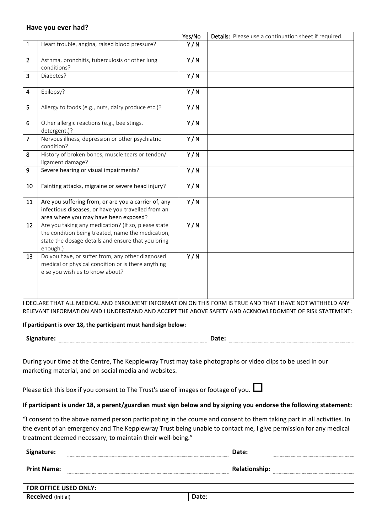### **Have you ever had?**

|                |                                                                                                                                                                            | Yes/No | Details: Please use a continuation sheet if required. |
|----------------|----------------------------------------------------------------------------------------------------------------------------------------------------------------------------|--------|-------------------------------------------------------|
| $\mathbf{1}$   | Heart trouble, angina, raised blood pressure?                                                                                                                              | Y/N    |                                                       |
| $\overline{2}$ | Asthma, bronchitis, tuberculosis or other lung<br>conditions?                                                                                                              | Y/N    |                                                       |
| 3              | Diabetes?                                                                                                                                                                  | Y/N    |                                                       |
| 4              | Epilepsy?                                                                                                                                                                  | Y/N    |                                                       |
| 5              | Allergy to foods (e.g., nuts, dairy produce etc.)?                                                                                                                         | Y/N    |                                                       |
| 6              | Other allergic reactions (e.g., bee stings,<br>detergent.)?                                                                                                                | Y/N    |                                                       |
| $\overline{7}$ | Nervous illness, depression or other psychiatric<br>condition?                                                                                                             | Y/N    |                                                       |
| 8              | History of broken bones, muscle tears or tendon/<br>ligament damage?                                                                                                       | Y/N    |                                                       |
| 9              | Severe hearing or visual impairments?                                                                                                                                      | Y/N    |                                                       |
| 10             | Fainting attacks, migraine or severe head injury?                                                                                                                          | Y/N    |                                                       |
| 11             | Are you suffering from, or are you a carrier of, any<br>infectious diseases, or have you travelled from an<br>area where you may have been exposed?                        | Y/N    |                                                       |
| 12             | Are you taking any medication? (If so, please state<br>the condition being treated, name the medication,<br>state the dosage details and ensure that you bring<br>enough.) | Y/N    |                                                       |
| 13             | Do you have, or suffer from, any other diagnosed<br>medical or physical condition or is there anything<br>else you wish us to know about?                                  | Y/N    |                                                       |

I DECLARE THAT ALL MEDICAL AND ENROLMENT INFORMATION ON THIS FORM IS TRUE AND THAT I HAVE NOT WITHHELD ANY RELEVANT INFORMATION AND I UNDERSTAND AND ACCEPT THE ABOVE SAFETY AND ACKNOWLEDGMENT OF RISK STATEMENT:

### **If participant is over 18, the participant must hand sign below:**

**Signature: Date:**

During your time at the Centre, The Kepplewray Trust may take photographs or video clips to be used in our marketing material, and on social media and websites.

Please tick this box if you consent to The Trust's use of images or footage of you.  $\square$ 

### **If participant is under 18, a parent/guardian must sign below and by signing you endorse the following statement:**

"I consent to the above named person participating in the course and consent to them taking part in all activities. In the event of an emergency and The Kepplewray Trust being unable to contact me, I give permission for any medical treatment deemed necessary, to maintain their well-being."

| Signature:                   | Date:                |  |
|------------------------------|----------------------|--|
| <b>Print Name:</b>           | <b>Relationship:</b> |  |
|                              |                      |  |
| <b>FOR OFFICE USED ONLY:</b> |                      |  |
| Received (Initial)           | Date:                |  |